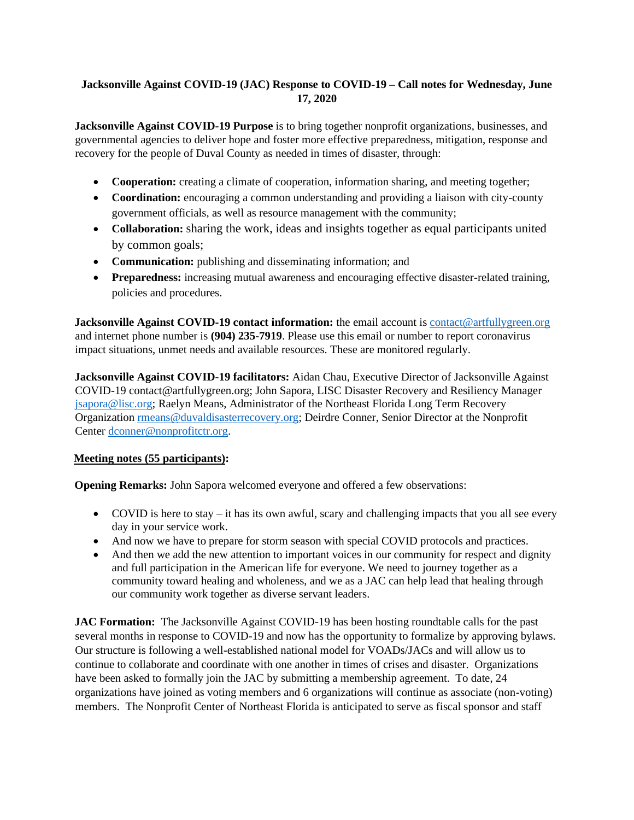# **Jacksonville Against COVID-19 (JAC) Response to COVID-19 – Call notes for Wednesday, June 17, 2020**

**Jacksonville Against COVID-19 Purpose** is to bring together nonprofit organizations, businesses, and governmental agencies to deliver hope and foster more effective preparedness, mitigation, response and recovery for the people of Duval County as needed in times of disaster, through:

- **Cooperation:** creating a climate of cooperation, information sharing, and meeting together;
- **Coordination:** encouraging a common understanding and providing a liaison with city-county government officials, as well as resource management with the community;
- **Collaboration:** sharing the work, ideas and insights together as equal participants united by common goals;
- **Communication:** publishing and disseminating information; and
- **Preparedness:** increasing mutual awareness and encouraging effective disaster-related training, policies and procedures.

**Jacksonville Against COVID-19 contact information:** the email account is contact@artfullygreen.org and internet phone number is **(904) 235-7919**. Please use this email or number to report coronavirus impact situations, unmet needs and available resources. These are monitored regularly.

**Jacksonville Against COVID-19 facilitators:** Aidan Chau, Executive Director of Jacksonville Against COVID-19 contact@artfullygreen.org; John Sapora, LISC Disaster Recovery and Resiliency Manager [jsapora@lisc.org;](mailto:jsapora@lisc.org) Raelyn Means, Administrator of the Northeast Florida Long Term Recovery Organizatio[n rmeans@duvaldisasterrecovery.org;](mailto:rmeans@duvaldisasterrecovery.org) Deirdre Conner, Senior Director at the Nonprofit Center [dconner@nonprofitctr.org.](mailto:dconner@nonprofitctr.org)

# **Meeting notes (55 participants):**

**Opening Remarks:** John Sapora welcomed everyone and offered a few observations:

- COVID is here to stay it has its own awful, scary and challenging impacts that you all see every day in your service work.
- And now we have to prepare for storm season with special COVID protocols and practices.
- And then we add the new attention to important voices in our community for respect and dignity and full participation in the American life for everyone. We need to journey together as a community toward healing and wholeness, and we as a JAC can help lead that healing through our community work together as diverse servant leaders.

**JAC Formation:** The Jacksonville Against COVID-19 has been hosting roundtable calls for the past several months in response to COVID-19 and now has the opportunity to formalize by approving bylaws. Our structure is following a well-established national model for VOADs/JACs and will allow us to continue to collaborate and coordinate with one another in times of crises and disaster. Organizations have been asked to formally join the JAC by submitting a membership agreement. To date, 24 organizations have joined as voting members and 6 organizations will continue as associate (non-voting) members. The Nonprofit Center of Northeast Florida is anticipated to serve as fiscal sponsor and staff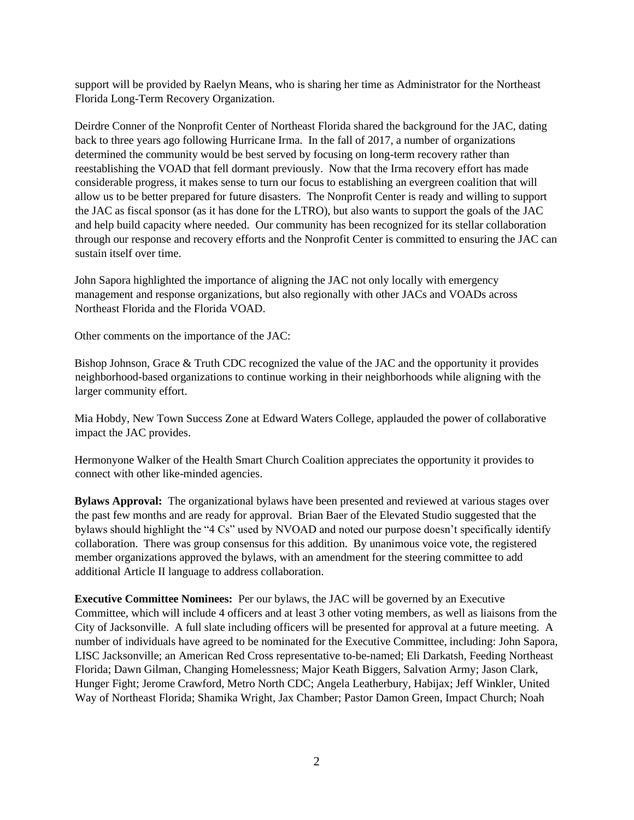support will be provided by Raelyn Means, who is sharing her time as Administrator for the Northeast Florida Long-Term Recovery Organization.

Deirdre Conner of the Nonprofit Center of Northeast Florida shared the background for the JAC, dating back to three years ago following Hurricane Irma. In the fall of 2017, a number of organizations determined the community would be best served by focusing on long-term recovery rather than reestablishing the VOAD that fell dormant previously. Now that the Irma recovery effort has made considerable progress, it makes sense to turn our focus to establishing an evergreen coalition that will allow us to be better prepared for future disasters. The Nonprofit Center is ready and willing to support the JAC as fiscal sponsor (as it has done for the LTRO), but also wants to support the goals of the JAC and help build capacity where needed. Our community has been recognized for its stellar collaboration through our response and recovery efforts and the Nonprofit Center is committed to ensuring the JAC can sustain itself over time.

John Sapora highlighted the importance of aligning the JAC not only locally with emergency management and response organizations, but also regionally with other JACs and VOADs across Northeast Florida and the Florida VOAD.

Other comments on the importance of the JAC:

Bishop Johnson, Grace & Truth CDC recognized the value of the JAC and the opportunity it provides neighborhood-based organizations to continue working in their neighborhoods while aligning with the larger community effort.

Mia Hobdy, New Town Success Zone at Edward Waters College, applauded the power of collaborative impact the JAC provides.

Hermonyone Walker of the Health Smart Church Coalition appreciates the opportunity it provides to connect with other like-minded agencies.

**Bylaws Approval:** The organizational bylaws have been presented and reviewed at various stages over the past few months and are ready for approval. Brian Baer of the Elevated Studio suggested that the bylaws should highlight the "4 Cs" used by NVOAD and noted our purpose doesn't specifically identify collaboration. There was group consensus for this addition. By unanimous voice vote, the registered member organizations approved the bylaws, with an amendment for the steering committee to add additional Article II language to address collaboration.

**Executive Committee Nominees:** Per our bylaws, the JAC will be governed by an Executive Committee, which will include 4 officers and at least 3 other voting members, as well as liaisons from the City of Jacksonville. A full slate including officers will be presented for approval at a future meeting. A number of individuals have agreed to be nominated for the Executive Committee, including: John Sapora, LISC Jacksonville; an American Red Cross representative to-be-named; Eli Darkatsh, Feeding Northeast Florida; Dawn Gilman, Changing Homelessness; Major Keath Biggers, Salvation Army; Jason Clark, Hunger Fight; Jerome Crawford, Metro North CDC; Angela Leatherbury, Habijax; Jeff Winkler, United Way of Northeast Florida; Shamika Wright, Jax Chamber; Pastor Damon Green, Impact Church; Noah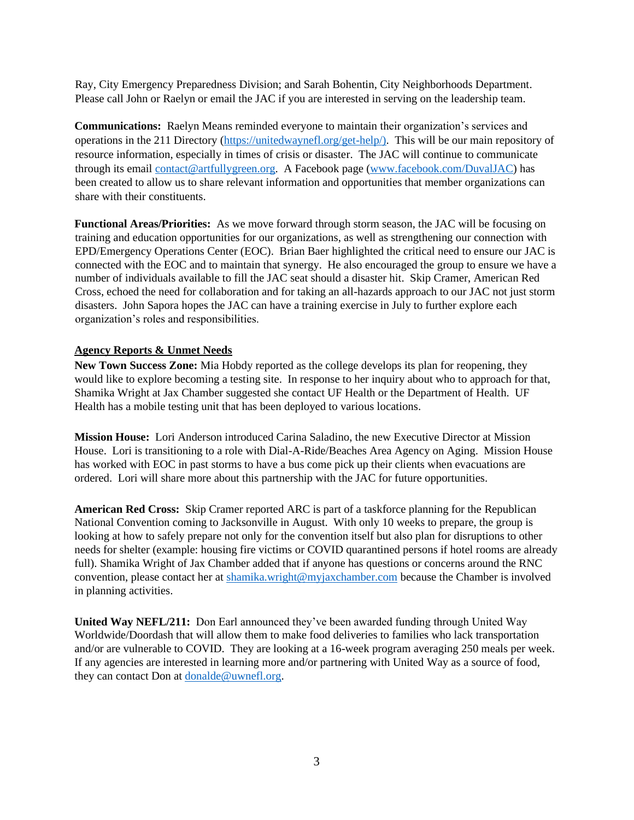Ray, City Emergency Preparedness Division; and Sarah Bohentin, City Neighborhoods Department. Please call John or Raelyn or email the JAC if you are interested in serving on the leadership team.

**Communications:** Raelyn Means reminded everyone to maintain their organization's services and operations in the 211 Directory [\(https://unitedwaynefl.org/get-help/\)](https://unitedwaynefl.org/get-help/). This will be our main repository of resource information, especially in times of crisis or disaster. The JAC will continue to communicate through its email [contact@artfullygreen.org.](mailto:coad@duvaldisasterrecovery.org) A Facebook page [\(www.facebook.com/DuvalJAC\)](http://www.facebook.com/DuvalCOAD) has been created to allow us to share relevant information and opportunities that member organizations can share with their constituents.

**Functional Areas/Priorities:** As we move forward through storm season, the JAC will be focusing on training and education opportunities for our organizations, as well as strengthening our connection with EPD/Emergency Operations Center (EOC). Brian Baer highlighted the critical need to ensure our JAC is connected with the EOC and to maintain that synergy. He also encouraged the group to ensure we have a number of individuals available to fill the JAC seat should a disaster hit. Skip Cramer, American Red Cross, echoed the need for collaboration and for taking an all-hazards approach to our JAC not just storm disasters. John Sapora hopes the JAC can have a training exercise in July to further explore each organization's roles and responsibilities.

### **Agency Reports & Unmet Needs**

**New Town Success Zone:** Mia Hobdy reported as the college develops its plan for reopening, they would like to explore becoming a testing site. In response to her inquiry about who to approach for that, Shamika Wright at Jax Chamber suggested she contact UF Health or the Department of Health. UF Health has a mobile testing unit that has been deployed to various locations.

**Mission House:** Lori Anderson introduced Carina Saladino, the new Executive Director at Mission House. Lori is transitioning to a role with Dial-A-Ride/Beaches Area Agency on Aging. Mission House has worked with EOC in past storms to have a bus come pick up their clients when evacuations are ordered. Lori will share more about this partnership with the JAC for future opportunities.

**American Red Cross:** Skip Cramer reported ARC is part of a taskforce planning for the Republican National Convention coming to Jacksonville in August. With only 10 weeks to prepare, the group is looking at how to safely prepare not only for the convention itself but also plan for disruptions to other needs for shelter (example: housing fire victims or COVID quarantined persons if hotel rooms are already full). Shamika Wright of Jax Chamber added that if anyone has questions or concerns around the RNC convention, please contact her at [shamika.wright@myjaxchamber.com](mailto:shamika.wright@myjaxchamber.com) because the Chamber is involved in planning activities.

**United Way NEFL/211:** Don Earl announced they've been awarded funding through United Way Worldwide/Doordash that will allow them to make food deliveries to families who lack transportation and/or are vulnerable to COVID. They are looking at a 16-week program averaging 250 meals per week. If any agencies are interested in learning more and/or partnering with United Way as a source of food, they can contact Don at [donalde@uwnefl.org.](mailto:donalde@uwnefl.org)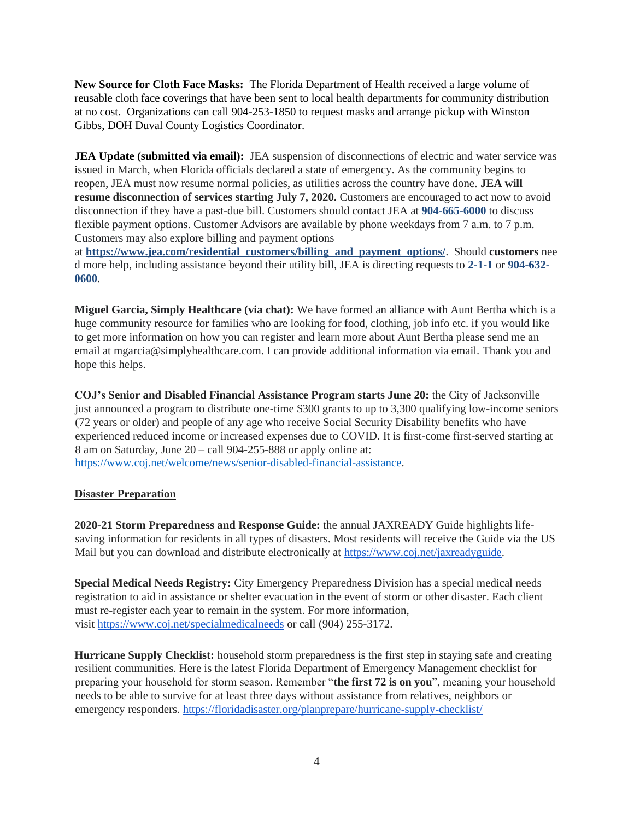**New Source for Cloth Face Masks:** The Florida Department of Health received a large volume of reusable cloth face coverings that have been sent to local health departments for community distribution at no cost. Organizations can call 904-253-1850 to request masks and arrange pickup with Winston Gibbs, DOH Duval County Logistics Coordinator.

**JEA Update (submitted via email):** JEA suspension of disconnections of electric and water service was issued in March, when Florida officials declared a state of emergency. As the community begins to reopen, JEA must now resume normal policies, as utilities across the country have done. **JEA will resume disconnection of services starting July 7, 2020.** Customers are encouraged to act now to avoid disconnection if they have a past-due bill. Customers should contact JEA at **904-665-6000** to discuss flexible payment options. Customer Advisors are available by phone weekdays from 7 a.m. to 7 p.m. Customers may also explore billing and payment options

at **[https://www.jea.com/residential\\_customers/billing\\_and\\_payment\\_options/](https://www.jea.com/residential_customers/billing_and_payment_options/)**. Should **customers** nee d more help, including assistance beyond their utility bill, JEA is directing requests to **2-1-1** or **904-632- 0600**.

**Miguel Garcia, Simply Healthcare (via chat):** We have formed an alliance with Aunt Bertha which is a huge community resource for families who are looking for food, clothing, job info etc. if you would like to get more information on how you can register and learn more about Aunt Bertha please send me an email at mgarcia@simplyhealthcare.com. I can provide additional information via email. Thank you and hope this helps.

**COJ's Senior and Disabled Financial Assistance Program starts June 20:** the City of Jacksonville just announced a program to distribute one-time \$300 grants to up to 3,300 qualifying low-income seniors (72 years or older) and people of any age who receive Social Security Disability benefits who have experienced reduced income or increased expenses due to COVID. It is first-come first-served starting at 8 am on Saturday, June 20 – call 904-255-888 or apply online at: [https://www.coj.net/welcome/news/senior-disabled-financial-assistance.](https://www.coj.net/welcome/news/senior-disabled-financial-assistance)

### **Disaster Preparation**

**2020-21 Storm Preparedness and Response Guide:** the annual JAXREADY Guide highlights lifesaving information for residents in all types of disasters. Most residents will receive the Guide via the US Mail but you can download and distribute electronically at [https://www.coj.net/jaxreadyguide.](https://www.coj.net/jaxreadyguide)

**Special Medical Needs Registry:** City Emergency Preparedness Division has a special medical needs registration to aid in assistance or shelter evacuation in the event of storm or other disaster. Each client must re-register each year to remain in the system. For more information, visit <https://www.coj.net/specialmedicalneeds> or call (904) 255-3172.

**Hurricane Supply Checklist:** household storm preparedness is the first step in staying safe and creating resilient communities. Here is the latest Florida Department of Emergency Management checklist for preparing your household for storm season. Remember "**the first 72 is on you**", meaning your household needs to be able to survive for at least three days without assistance from relatives, neighbors or emergency responders. <https://floridadisaster.org/planprepare/hurricane-supply-checklist/>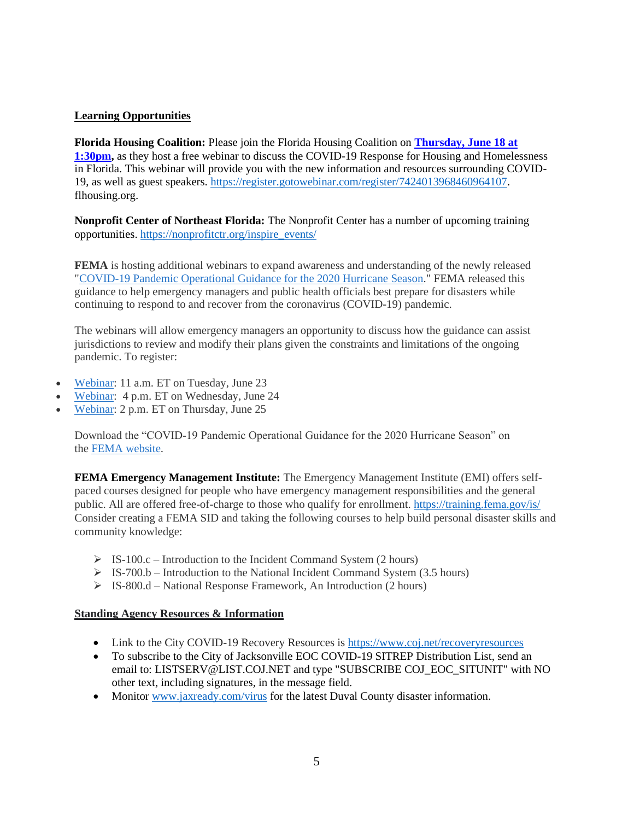### **Learning Opportunities**

**Florida Housing Coalition:** Please join the Florida Housing Coalition on **[Thursday,](https://fhc.wildapricot.org/EmailTracker/LinkTracker.ashx?linkAndRecipientCode=2i%2bAXriWZXRKoIn2DUtM%2bqOWu0S7CmXkXwx6oU2%2fYsJgmdgrC8B7j%2fm34ybFClocZEbjPbIPplx%2fgyO5bmyF6fpe0RYmm9xpMFrB4QYyQqw%3d) June 18 at [1:30pm,](https://fhc.wildapricot.org/EmailTracker/LinkTracker.ashx?linkAndRecipientCode=2i%2bAXriWZXRKoIn2DUtM%2bqOWu0S7CmXkXwx6oU2%2fYsJgmdgrC8B7j%2fm34ybFClocZEbjPbIPplx%2fgyO5bmyF6fpe0RYmm9xpMFrB4QYyQqw%3d)** as they host a free webinar to discuss the COVID-19 Response for Housing and Homelessness in Florida. This webinar will provide you with the new information and resources surrounding COVID-19, as well as guest speakers. [https://register.gotowebinar.com/register/7424013968460964107.](https://register.gotowebinar.com/register/7424013968460964107) flhousing.org.

**Nonprofit Center of Northeast Florida:** The Nonprofit Center has a number of upcoming training opportunities. [https://nonprofitctr.org/inspire\\_events/](https://nonprofitctr.org/inspire_events/)

**FEMA** is hosting additional webinars to expand awareness and understanding of the newly released ["COVID-19 Pandemic Operational Guidance for the 2020 Hurricane Season.](https://lnks.gd/l/eyJhbGciOiJIUzI1NiJ9.eyJidWxsZXRpbl9saW5rX2lkIjoxMTAsInVyaSI6ImJwMjpjbGljayIsImJ1bGxldGluX2lkIjoiMjAyMDA2MTYuMjMwMzg5NjEiLCJ1cmwiOiJodHRwczovL3d3dy5mZW1hLmdvdi9tZWRpYS1saWJyYXJ5L2Fzc2V0cy9kb2N1bWVudHMvMTg4MjAzIn0.2k56cgn9qrGMr6odW0uqRHcf56wBnFYIqLpmN7gp0cA/s/981676149/br/79908961009-l)" FEMA released this guidance to help emergency managers and public health officials best prepare for disasters while continuing to respond to and recover from the coronavirus (COVID-19) pandemic.

The webinars will allow emergency managers an opportunity to discuss how the guidance can assist jurisdictions to review and modify their plans given the constraints and limitations of the ongoing pandemic. To register:

- [Webinar:](https://lnks.gd/l/eyJhbGciOiJIUzI1NiJ9.eyJidWxsZXRpbl9saW5rX2lkIjoxMTEsInVyaSI6ImJwMjpjbGljayIsImJ1bGxldGluX2lkIjoiMjAyMDA2MTYuMjMwMzg5NjEiLCJ1cmwiOiJodHRwczovL2ZlbWEuY29ubmVjdHNvbHV0aW9ucy5jb20vY292aWQxOXJlZ2lzdHJhdGlvbjYvZXZlbnQvcmVnaXN0cmF0aW9uLmh0bWwifQ.esU7mOrGMEooqZcFWEsMwgn9Tzv_H36sxcTNeLZBkd4/s/981676149/br/79908961009-l) 11 a.m. ET on Tuesday, June 23
- [Webinar:](https://lnks.gd/l/eyJhbGciOiJIUzI1NiJ9.eyJidWxsZXRpbl9saW5rX2lkIjoxMTIsInVyaSI6ImJwMjpjbGljayIsImJ1bGxldGluX2lkIjoiMjAyMDA2MTYuMjMwMzg5NjEiLCJ1cmwiOiJodHRwczovL2ZlbWEuY29ubmVjdHNvbHV0aW9ucy5jb20vY292aWQxOXJlZ2lzdHJhdGlvbjcvZXZlbnQvcmVnaXN0cmF0aW9uLmh0bWwifQ.PFEcYKnOuLUg3ERdAwU4UaC5JOUj7gpMrP_zZUPxh4I/s/981676149/br/79908961009-l) 4 p.m. ET on Wednesday, June 24
- [Webinar:](https://lnks.gd/l/eyJhbGciOiJIUzI1NiJ9.eyJidWxsZXRpbl9saW5rX2lkIjoxMTMsInVyaSI6ImJwMjpjbGljayIsImJ1bGxldGluX2lkIjoiMjAyMDA2MTYuMjMwMzg5NjEiLCJ1cmwiOiJodHRwczovL2ZlbWEuY29ubmVjdHNvbHV0aW9ucy5jb20vY292aWQxOXJlZ2lzdHJhdGlvbjgvZXZlbnQvcmVnaXN0cmF0aW9uLmh0bWwifQ.LddIbGGSv8rFdjjpThnpATMLthBZpmwbfE-kDXuimCE/s/981676149/br/79908961009-l) 2 p.m. ET on Thursday, June 25

Download the "COVID-19 Pandemic Operational Guidance for the 2020 Hurricane Season" on the [FEMA website.](https://lnks.gd/l/eyJhbGciOiJIUzI1NiJ9.eyJidWxsZXRpbl9saW5rX2lkIjoxMTQsInVyaSI6ImJwMjpjbGljayIsImJ1bGxldGluX2lkIjoiMjAyMDA2MTYuMjMwMzg5NjEiLCJ1cmwiOiJodHRwczovL3d3dy5mZW1hLmdvdi9tZWRpYS1saWJyYXJ5L2Fzc2V0cy9kb2N1bWVudHMvMTg4MjAzIn0.yTCN7n1k2jC5MdAO7GBY2k_zcc7fQu5Wc-RF0M_LrqU/s/981676149/br/79908961009-l)

**FEMA Emergency Management Institute:** The Emergency Management Institute (EMI) offers selfpaced courses designed for people who have emergency management responsibilities and the general public. All are offered free-of-charge to those who qualify for enrollment[. https://training.fema.gov/is/](https://training.fema.gov/is/) Consider creating a FEMA SID and taking the following courses to help build personal disaster skills and community knowledge:

- $\triangleright$  IS-100.c Introduction to the Incident Command System (2 hours)
- ➢ IS-700.b Introduction to the National Incident Command System (3.5 hours)
- ➢ IS-800.d National Response Framework, An Introduction (2 hours)

### **Standing Agency Resources & Information**

- Link to the City COVID-19 Recovery Resources is<https://www.coj.net/recoveryresources>
- To subscribe to the City of Jacksonville EOC COVID-19 SITREP Distribution List, send an email to: LISTSERV@LIST.COJ.NET and type "SUBSCRIBE COJ\_EOC\_SITUNIT" with NO other text, including signatures, in the message field.
- Monitor [www.jaxready.com/](http://www.jaxready.com/)virus for the latest Duval County disaster information.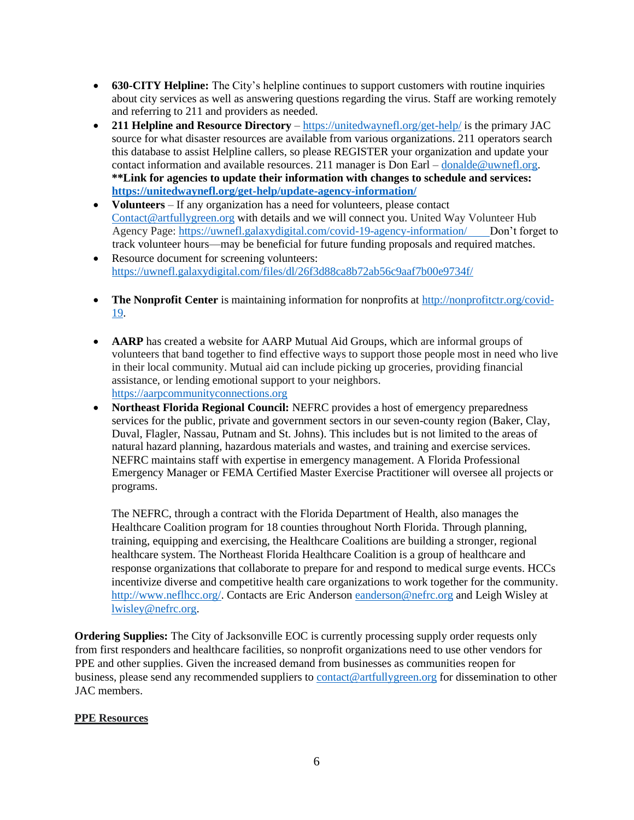- **630-CITY Helpline:** The City's helpline continues to support customers with routine inquiries about city services as well as answering questions regarding the virus. Staff are working remotely and referring to 211 and providers as needed.
- **211 Helpline and Resource Directory** <https://unitedwaynefl.org/get-help/> is the primary JAC source for what disaster resources are available from various organizations. 211 operators search this database to assist Helpline callers, so please REGISTER your organization and update your contact information and available resources. 211 manager is Don Earl – [donalde@uwnefl.org.](mailto:donalde@uwnefl.org) **\*\*Link for agencies to update their information with changes to schedule and services: <https://unitedwaynefl.org/get-help/update-agency-information/>**
- **Volunteers** If any organization has a need for volunteers, please contact Contact@artfullygreen.org with details and we will connect you. United Way Volunteer Hub Agency Page: [https://uwnefl.galaxydigital.com/covid-19-agency-information/ D](https://uwnefl.galaxydigital.com/covid-19-agency-information/)on't forget to track volunteer hours—may be beneficial for future funding proposals and required matches.
- Resource document for screening volunteers: <https://uwnefl.galaxydigital.com/files/dl/26f3d88ca8b72ab56c9aaf7b00e9734f/>
- **The Nonprofit Center** is maintaining information for nonprofits at [http://nonprofitctr.org/covid-](http://nonprofitctr.org/covid-19)[19.](http://nonprofitctr.org/covid-19)
- **AARP** has created a website for AARP Mutual Aid Groups, which are informal groups of volunteers that band together to find effective ways to support those people most in need who live in their local community. Mutual aid can include picking up groceries, providing financial assistance, or lending emotional support to your neighbors. [https://aarpcommunityconnections.org](https://aarpcommunityconnections.org/)
- **Northeast Florida Regional Council:** NEFRC provides a host of emergency preparedness services for the public, private and government sectors in our seven-county region (Baker, Clay, Duval, Flagler, Nassau, Putnam and St. Johns). This includes but is not limited to the areas of natural hazard planning, hazardous materials and wastes, and training and exercise services. NEFRC maintains staff with expertise in emergency management. A Florida Professional Emergency Manager or FEMA Certified Master Exercise Practitioner will oversee all projects or programs.

The NEFRC, through a contract with the Florida Department of Health, also manages the Healthcare Coalition program for 18 counties throughout North Florida. Through planning, training, equipping and exercising, the Healthcare Coalitions are building a stronger, regional healthcare system. The Northeast Florida Healthcare Coalition is a group of healthcare and response organizations that collaborate to prepare for and respond to medical surge events. HCCs incentivize diverse and competitive health care organizations to work together for the community. [http://www.neflhcc.org/.](http://www.neflhcc.org/) Contacts are Eric Anderson [eanderson@nefrc.org](mailto:eanderson@nefrc.org) and Leigh Wisley at [lwisley@nefrc.org.](mailto:lwisley@nefrc.org)

**Ordering Supplies:** The City of Jacksonville EOC is currently processing supply order requests only from first responders and healthcare facilities, so nonprofit organizations need to use other vendors for PPE and other supplies. Given the increased demand from businesses as communities reopen for business, please send any recommended suppliers to [contact@artfullygreen.org](mailto:coad@duvaldisasterrecovery.org) for dissemination to other JAC members.

### **PPE Resources**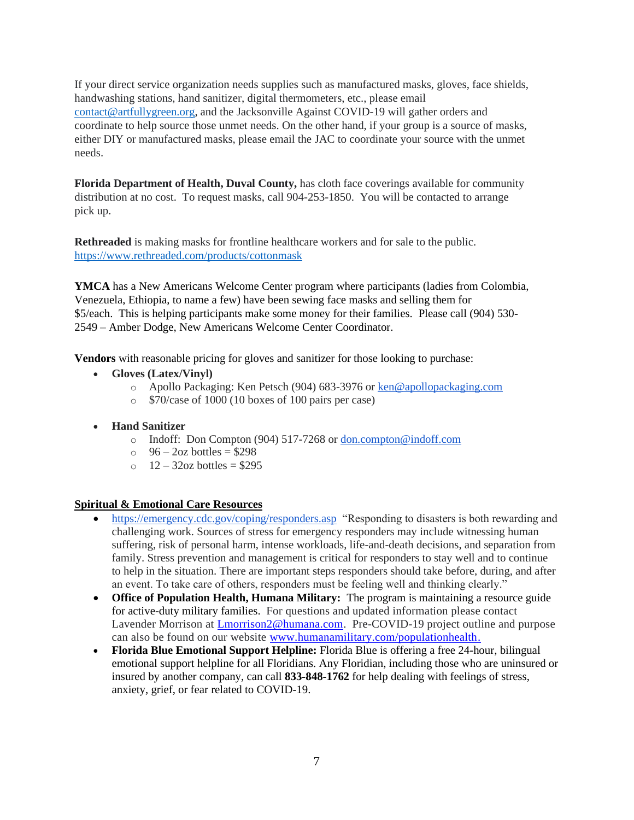If your direct service organization needs supplies such as manufactured masks, gloves, face shields, handwashing stations, hand sanitizer, digital thermometers, etc., please email [contact@artfullygreen.org,](mailto:coad@duvaldisasterrecovery.org) and the Jacksonville Against COVID-19 will gather orders and coordinate to help source those unmet needs. On the other hand, if your group is a source of masks, either DIY or manufactured masks, please email the JAC to coordinate your source with the unmet needs.

**Florida Department of Health, Duval County,** has cloth face coverings available for community distribution at no cost. To request masks, call 904-253-1850. You will be contacted to arrange pick up.

**Rethreaded** is making masks for frontline healthcare workers and for sale to the public. <https://www.rethreaded.com/products/cottonmask>

**YMCA** has a New Americans Welcome Center program where participants (ladies from Colombia, Venezuela, Ethiopia, to name a few) have been sewing face masks and selling them for \$5/each. This is helping participants make some money for their families. Please call (904) 530- 2549 – Amber Dodge, New Americans Welcome Center Coordinator.

**Vendors** with reasonable pricing for gloves and sanitizer for those looking to purchase:

- **Gloves (Latex/Vinyl)**
	- o Apollo Packaging: Ken Petsch (904) 683-3976 or [ken@apollopackaging.com](mailto:ken@apollopackaging.com)
	- o \$70/case of 1000 (10 boxes of 100 pairs per case)
- **Hand Sanitizer**
	- o Indoff: Don Compton (904) 517-7268 or [don.compton@indoff.com](mailto:don.compton@indoff.com)
	- $\degree$  96 2oz bottles = \$298
	- $\Omega$  = 32oz bottles = \$295

#### **Spiritual & Emotional Care Resources**

- <https://emergency.cdc.gov/coping/responders.asp>"Responding to disasters is both rewarding and challenging work. Sources of stress for emergency responders may include witnessing human suffering, risk of personal harm, intense workloads, life-and-death decisions, and separation from family. Stress prevention and management is critical for responders to stay well and to continue to help in the situation. There are important steps responders should take before, during, and after an event. To take care of others, responders must be feeling well and thinking clearly."
- **Office of Population Health, Humana Military:** The program is maintaining a resource guide for active-duty military families. For questions and updated information please contact Lavender Morrison at [Lmorrison2@humana.com.](mailto:Lmorrison2@humana.com) Pre-COVID-19 project outline and purpose can also be found on our website [www.humanamilitary.com/populationhealth.](http://www.humanamilitary.com/populationhealth)
- **Florida Blue Emotional Support Helpline:** Florida Blue is offering a free 24-hour, bilingual emotional support helpline for all Floridians. Any Floridian, including those who are uninsured or insured by another company, can call **833-848-1762** for help dealing with feelings of stress, anxiety, grief, or fear related to COVID-19.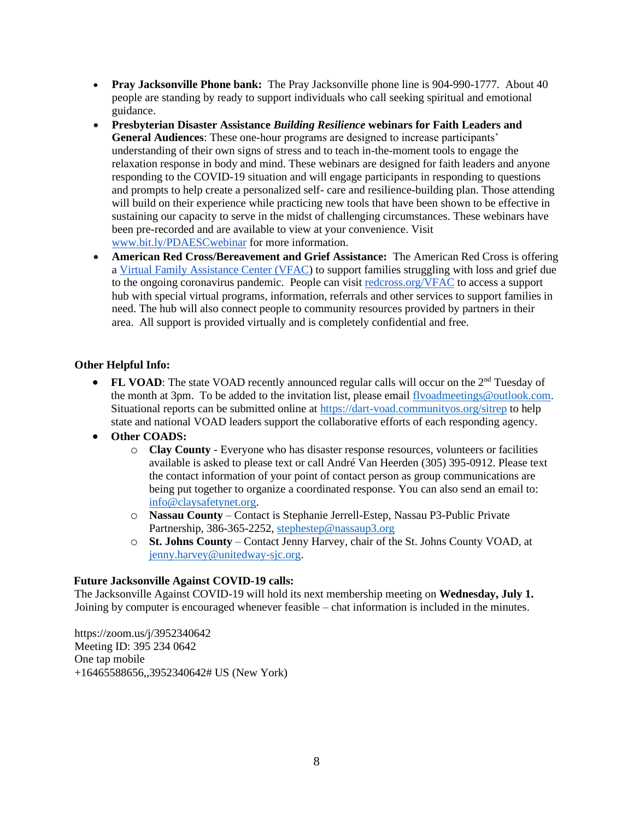- **Pray Jacksonville Phone bank:** The Pray Jacksonville phone line is 904-990-1777. About 40 people are standing by ready to support individuals who call seeking spiritual and emotional guidance.
- **Presbyterian Disaster Assistance** *Building Resilience* **webinars for Faith Leaders and General Audiences**: These one-hour programs are designed to increase participants' understanding of their own signs of stress and to teach in-the-moment tools to engage the relaxation response in body and mind. These webinars are designed for faith leaders and anyone responding to the COVID-19 situation and will engage participants in responding to questions and prompts to help create a personalized self- care and resilience-building plan. Those attending will build on their experience while practicing new tools that have been shown to be effective in sustaining our capacity to serve in the midst of challenging circumstances. These webinars have been pre-recorded and are available to view at your convenience. Visit [www.bit.ly/PDAESCwebinar](http://www.bit.ly/PDAESCwebinar) for more information.
- **American Red Cross/Bereavement and Grief Assistance:** The American Red Cross is offering a [Virtual Family Assistance Center \(VFAC\)](https://www.redcross.org/virtual-family-assistance-center.html) to support families struggling with loss and grief due to the ongoing coronavirus pandemic. People can visit [redcross.org/VFAC](http://redcross.org/VFAC) to access a support hub with special virtual programs, information, referrals and other services to support families in need. The hub will also connect people to community resources provided by partners in their area. All support is provided virtually and is completely confidential and free.

#### **Other Helpful Info:**

- **FL VOAD**: The state VOAD recently announced regular calls will occur on the 2<sup>nd</sup> Tuesday of the month at 3pm. To be added to the invitation list, please email [flvoadmeetings@outlook.com.](mailto:flvoadmeetings@outlook.com) Situational reports can be submitted online at<https://dart-voad.communityos.org/sitrep> to help state and national VOAD leaders support the collaborative efforts of each responding agency.
- **Other COADS:**
	- o **Clay County** Everyone who has disaster response resources, volunteers or facilities available is asked to please text or call André Van Heerden (305) 395-0912. Please text the contact information of your point of contact person as group communications are being put together to organize a coordinated response. You can also send an email to: info@claysafetynet.org.
	- o **Nassau County** Contact is Stephanie Jerrell-Estep, Nassau P3-Public Private Partnership, 386-365-2252, [stephestep@nassaup3.org](mailto:stephestep@nassaup3.org)
	- o **St. Johns County** Contact Jenny Harvey, chair of the St. Johns County VOAD, at jenny.harvey@unitedway-sjc.org.

### **Future Jacksonville Against COVID-19 calls:**

The Jacksonville Against COVID-19 will hold its next membership meeting on **Wednesday, July 1.** Joining by computer is encouraged whenever feasible – chat information is included in the minutes.

https://zoom.us/j/3952340642 Meeting ID: 395 234 0642 One tap mobile +16465588656,,3952340642# US (New York)